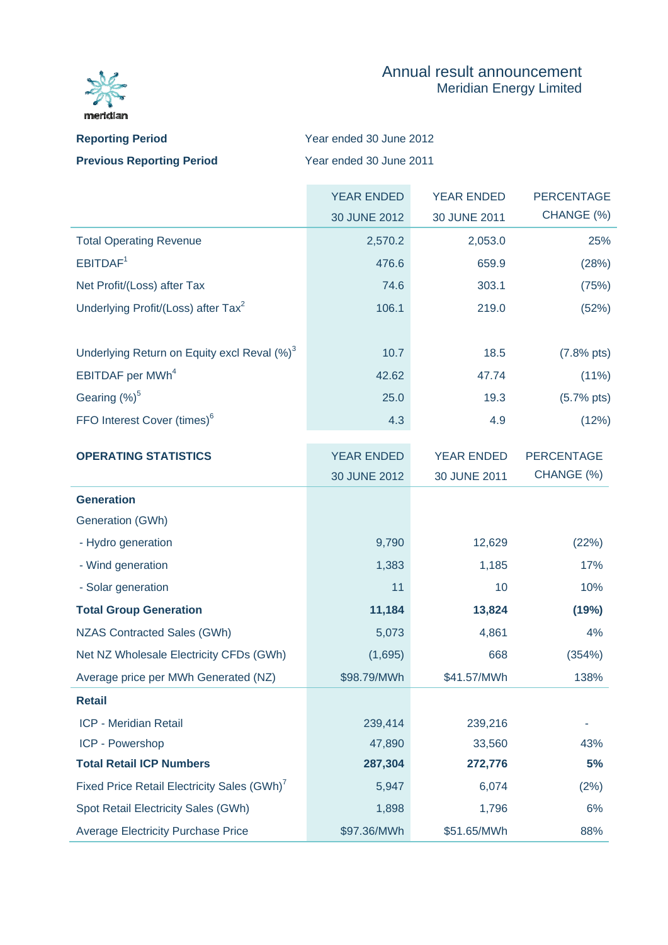

ICP - Powershop

**Total Retail ICP Numbers** 

## Annual result announcement Meridian Energy Limited

| <b>Reporting Period</b>          | Year ended 30 June 2012 |
|----------------------------------|-------------------------|
| <b>Previous Reporting Period</b> | Year ended 30 June 2011 |

|                                                         | <b>YEAR ENDED</b> | <b>YEAR ENDED</b> | PERCENTAGE           |
|---------------------------------------------------------|-------------------|-------------------|----------------------|
|                                                         | 30 JUNE 2012      | 30 JUNE 2011      | CHANGE (%)           |
| <b>Total Operating Revenue</b>                          | 2,570.2           | 2,053.0           | 25%                  |
| EBITDAF <sup>1</sup>                                    | 476.6             | 659.9             | (28%)                |
| Net Profit/(Loss) after Tax                             | 74.6              | 303.1             | (75%)                |
| Underlying Profit/(Loss) after Tax <sup>2</sup>         | 106.1             | 219.0             | (52%)                |
| Underlying Return on Equity excl Reval (%) <sup>3</sup> | 10.7              | 18.5              | $(7.8% \text{ pts})$ |
| EBITDAF per MWh <sup>4</sup>                            | 42.62             | 47.74             | $(11\%)$             |
| Gearing (%) <sup>5</sup>                                | 25.0              | 19.3              | $(5.7% \text{ pts})$ |
| FFO Interest Cover (times) <sup>6</sup>                 | 4.3               | 4.9               | (12%)                |
| <b>OPERATING STATISTICS</b>                             | <b>YEAR ENDED</b> | <b>YEAR ENDED</b> | <b>PERCENTAGE</b>    |
|                                                         | 30 JUNE 2012      | 30 JUNE 2011      | CHANGE (%)           |
| <b>Generation</b>                                       |                   |                   |                      |
| Generation (GWh)                                        |                   |                   |                      |
| - Hydro generation                                      | 9,790             | 12,629            | (22%)                |
| - Wind generation                                       | 1,383             | 1,185             | 17%                  |
| - Solar generation                                      | 11                | 10                | 10%                  |
| <b>Total Group Generation</b>                           | 11,184            | 13,824            | (19%)                |
| <b>NZAS Contracted Sales (GWh)</b>                      | 5,073             | 4,861             | 4%                   |
| Net NZ Wholesale Electricity CFDs (GWh)                 | (1,695)           | 668               | (354%)               |
| Average price per MWh Generated (NZ)                    | \$98.79/MWh       | \$41.57/MWh       | 138%                 |
| <b>Retail</b>                                           |                   |                   |                      |
| ICP - Meridian Retail                                   | 239,414           | 239,216           |                      |

47,890 **287,304**

Fixed Price Retail Electricity Sales (GWh)<sup>7</sup> 5,947 6,074 (2%)

Spot Retail Electricity Sales (GWh) 1,898 1,796 1,796 6% Average Electricity Purchase Price  $$97.36/MWh$  \$51.65/MWh \$51.65/MWh

33,560 **272,776**  43% **5%**